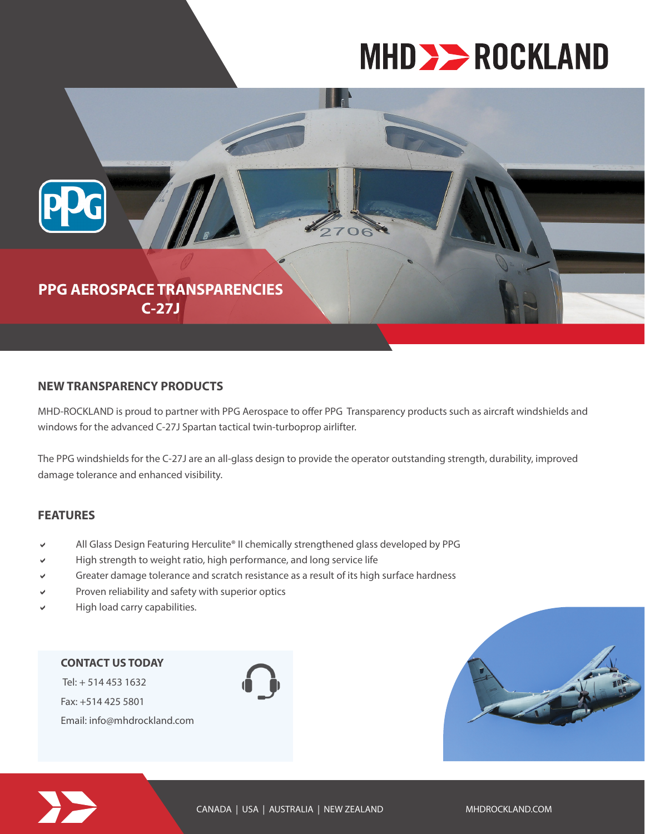# **MHD >> ROCKLAND**



#### **NEW TRANSPARENCY PRODUCTS**

MHD-ROCKLAND is proud to partner with PPG Aerospace to offer PPG Transparency products such as aircraft windshields and windows for the advanced C-27J Spartan tactical twin-turboprop airlifter.

The PPG windshields for the C-27J are an all-glass design to provide the operator outstanding strength, durability, improved damage tolerance and enhanced visibility.

### **FEATURES**

- All Glass Design Featuring Herculite® II chemically strengthened glass developed by PPG
- High strength to weight ratio, high performance, and long service life
- Greater damage tolerance and scratch resistance as a result of its high surface hardness
- Proven reliability and safety with superior optics
- High load carry capabilities.

## **CONTACT US TODAY**

 Tel: + 514 453 1632 Fax: +514 425 5801 Email: info@mhdrockland.com





CANADA | USA | AUSTRALIA | NEW ZEALAND MHDROCKLAND.COM